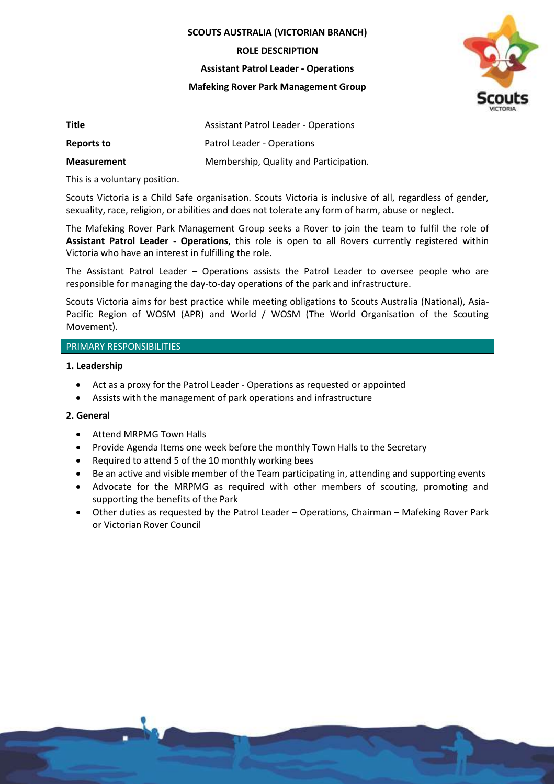**SCOUTS AUSTRALIA (VICTORIAN BRANCH)**

**ROLE DESCRIPTION**

**Assistant Patrol Leader - Operations**

**Mafeking Rover Park Management Group**



| Title              | <b>Assistant Patrol Leader - Operations</b> |
|--------------------|---------------------------------------------|
| Reports to         | Patrol Leader - Operations                  |
| <b>Measurement</b> | Membership, Quality and Participation.      |

This is a voluntary position.

Scouts Victoria is a Child Safe organisation. Scouts Victoria is inclusive of all, regardless of gender, sexuality, race, religion, or abilities and does not tolerate any form of harm, abuse or neglect.

The Mafeking Rover Park Management Group seeks a Rover to join the team to fulfil the role of **Assistant Patrol Leader - Operations**, this role is open to all Rovers currently registered within Victoria who have an interest in fulfilling the role.

The Assistant Patrol Leader – Operations assists the Patrol Leader to oversee people who are responsible for managing the day-to-day operations of the park and infrastructure.

Scouts Victoria aims for best practice while meeting obligations to Scouts Australia (National), Asia-Pacific Region of WOSM (APR) and World / WOSM (The World Organisation of the Scouting Movement).

## PRIMARY RESPONSIBILITIES

## **1. Leadership**

- Act as a proxy for the Patrol Leader Operations as requested or appointed
- Assists with the management of park operations and infrastructure

## **2. General**

- Attend MRPMG Town Halls
- Provide Agenda Items one week before the monthly Town Halls to the Secretary
- Required to attend 5 of the 10 monthly working bees
- Be an active and visible member of the Team participating in, attending and supporting events
- Advocate for the MRPMG as required with other members of scouting, promoting and supporting the benefits of the Park
- Other duties as requested by the Patrol Leader Operations, Chairman Mafeking Rover Park or Victorian Rover Council